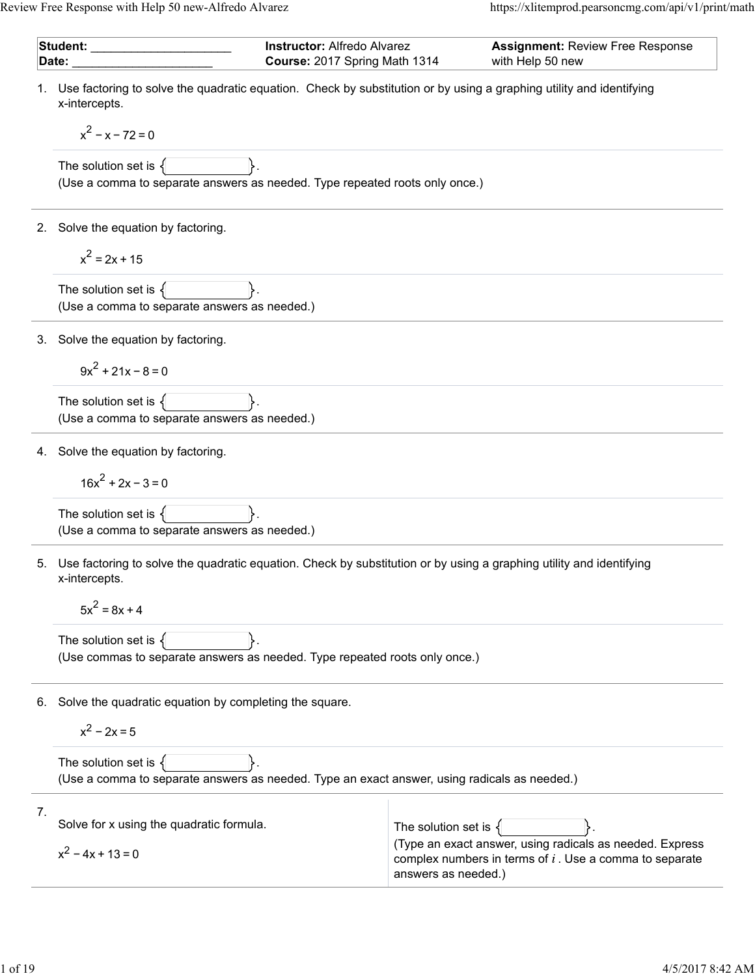| Student: __________<br>Date: |                                                                                                                                         |  | <b>Instructor: Alfredo Alvarez</b><br><b>Assignment: Review Free Response</b><br>with Help 50 new<br>Course: 2017 Spring Math 1314 |                                                                                                                       |
|------------------------------|-----------------------------------------------------------------------------------------------------------------------------------------|--|------------------------------------------------------------------------------------------------------------------------------------|-----------------------------------------------------------------------------------------------------------------------|
|                              | 1. Use factoring to solve the quadratic equation. Check by substitution or by using a graphing utility and identifying<br>x-intercepts. |  |                                                                                                                                    |                                                                                                                       |
|                              | $x^2 - x - 72 = 0$                                                                                                                      |  |                                                                                                                                    |                                                                                                                       |
|                              | The solution set is $\{$<br>(Use a comma to separate answers as needed. Type repeated roots only once.)                                 |  |                                                                                                                                    |                                                                                                                       |
| 2.                           | Solve the equation by factoring.                                                                                                        |  |                                                                                                                                    |                                                                                                                       |
|                              | $x^2 = 2x + 15$                                                                                                                         |  |                                                                                                                                    |                                                                                                                       |
|                              | The solution set is $\{$<br>(Use a comma to separate answers as needed.)                                                                |  |                                                                                                                                    |                                                                                                                       |
|                              | 3. Solve the equation by factoring.                                                                                                     |  |                                                                                                                                    |                                                                                                                       |
|                              | $9x^2 + 21x - 8 = 0$                                                                                                                    |  |                                                                                                                                    |                                                                                                                       |
|                              | The solution set is $\{$<br>(Use a comma to separate answers as needed.)                                                                |  |                                                                                                                                    |                                                                                                                       |
|                              | 4. Solve the equation by factoring.                                                                                                     |  |                                                                                                                                    |                                                                                                                       |
|                              | $16x^2 + 2x - 3 = 0$                                                                                                                    |  |                                                                                                                                    |                                                                                                                       |
|                              | The solution set is $\{$<br>(Use a comma to separate answers as needed.)                                                                |  |                                                                                                                                    |                                                                                                                       |
| 5.                           | Use factoring to solve the quadratic equation. Check by substitution or by using a graphing utility and identifying<br>x-intercepts.    |  |                                                                                                                                    |                                                                                                                       |
| $5x^2 = 8x + 4$              |                                                                                                                                         |  |                                                                                                                                    |                                                                                                                       |
|                              | The solution set is $\{$<br>(Use commas to separate answers as needed. Type repeated roots only once.)                                  |  |                                                                                                                                    |                                                                                                                       |
| 6.                           | Solve the quadratic equation by completing the square.                                                                                  |  |                                                                                                                                    |                                                                                                                       |
|                              | $x^2 - 2x = 5$                                                                                                                          |  |                                                                                                                                    |                                                                                                                       |
|                              | The solution set is $\{$<br>(Use a comma to separate answers as needed. Type an exact answer, using radicals as needed.)                |  |                                                                                                                                    |                                                                                                                       |
| 7.                           | Solve for x using the quadratic formula.                                                                                                |  | The solution set is <                                                                                                              |                                                                                                                       |
|                              | $x^2 - 4x + 13 = 0$                                                                                                                     |  | answers as needed.)                                                                                                                | (Type an exact answer, using radicals as needed. Express<br>complex numbers in terms of $i$ . Use a comma to separate |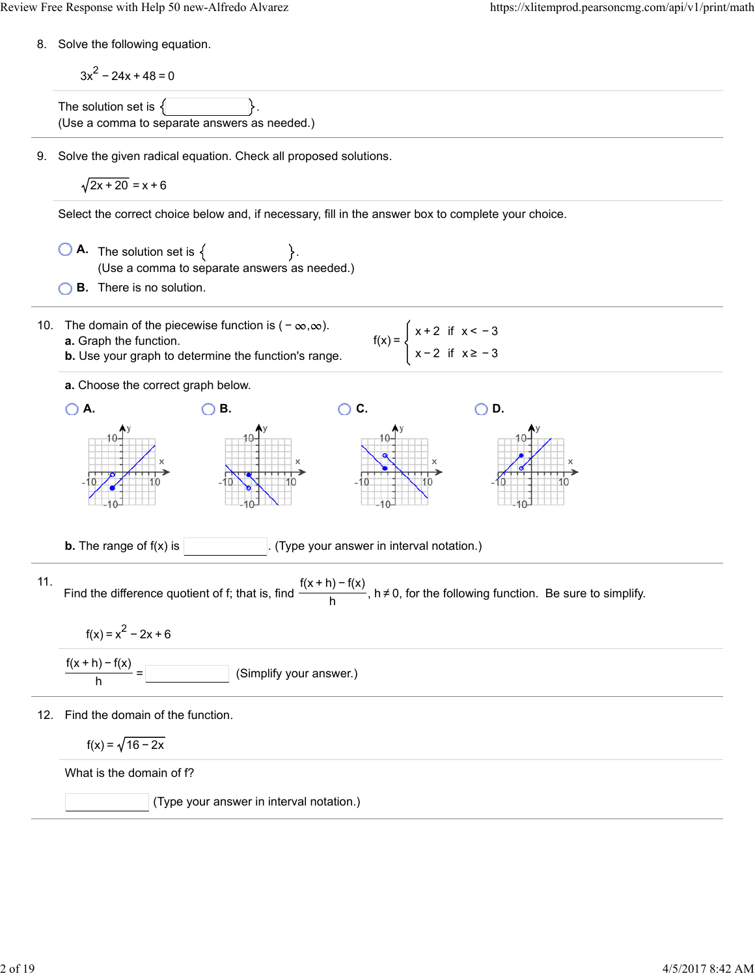8. Solve the following equation.

$$
3x2-24x+48=0
$$
  
The solution set is {

9. Solve the given radical equation. Check all proposed solutions.

$$
\sqrt{2x+20} = x+6
$$

Select the correct choice below and, if necessary, fill in the answer box to complete your choice.

 $\bigcirc$  **A.** The solution set is  $\{$   $\}$ . (Use a comma to separate answers as needed.)

**B.** There is no solution.

- 10. The domain of the piecewise function is  $(-\infty, \infty)$ . **a.** Graph the function.
	- **b.** Use your graph to determine the function's range.

**a.** Choose the correct graph below.

\n A. O B. O C. O D. O D. 
$$
10^{4y}
$$
  $10^{4y}$   $10^{4y}$   $10^{4y}$   $10^{4y}$   $10^{4y}$   $10^{4y}$   $10^{4y}$   $10^{4y}$   $10^{4y}$   $10^{4y}$   $10^{4y}$   $10^{4y}$   $10^{4y}$   $10^{4y}$   $10^{4y}$   $10^{4y}$   $10^{4y}$   $10^{4y}$   $10^{4y}$   $10^{4y}$   $10^{4y}$   $10^{4y}$   $10^{4y}$   $10^{4y}$   $10^{4y}$   $10^{4y}$   $10^{4y}$   $10^{4y}$   $10^{4y}$   $10^{4y}$   $10^{4y}$   $10^{4y}$   $10^{4y}$   $10^{4y}$   $10^{4y}$   $10^{4y}$   $10^{4y}$   $10^{4y}$   $10^{4y}$   $10^{4y}$   $10^{4y}$   $10^{4y}$   $10^{4y}$   $10^{4y}$   $10^{4y}$   $10^{4y}$   $10^{4y}$   $10^{4y}$   $10^{4y}$   $10^{4y}$   $10^{4y}$   $10^{4y}$   $10^{4y}$   $10^{4y}$   $10^{4y}$   $10^{4y}$   $10^{4y}$   $10^{4y}$   $10^{4y}$   $10^{4y}$   $10^{4y}$   $10^{4y}$   $10^{4y}$   $10^{4y}$   $10^{4y}$   $10^{4y}$   $10^{4y}$ 

 $f(x) = \begin{cases} x + 2 & \text{if } x < -3 \\ 1 & \text{if } x \leq 3 \end{cases}$ 

x − 2 if x ≥ − 3

**b.** The range of  $f(x)$  is  $\begin{bmatrix} 1 & 0 \\ 0 & 1 \end{bmatrix}$ . (Type your answer in interval notation.)

11. Find the difference quotient of f; that is, find  $\frac{f(x + h) - f(x)}{h}$ , h≠0, for the following function. Be sure to simplify.

$$
f(x) = x^2 - 2x + 6
$$

$$
\frac{f(x+h)-f(x)}{h} =
$$
 (Simplify your answer.)

12. Find the domain of the function.

$$
f(x) = \sqrt{16-2x}
$$

What is the domain of f?

(Type your answer in interval notation.)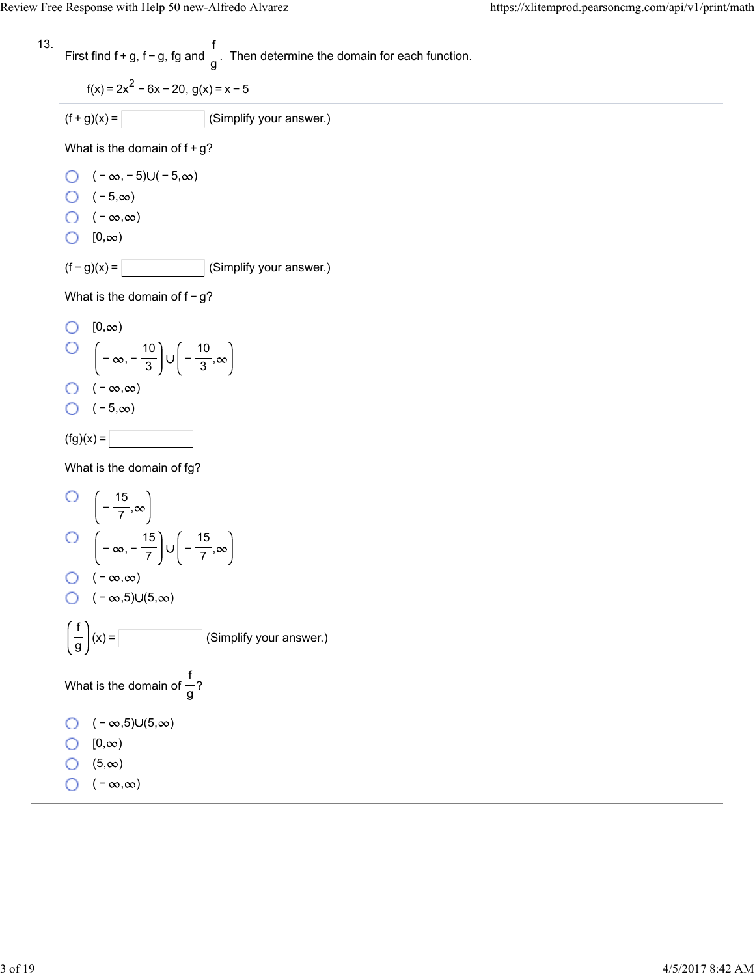13. First find 
$$
f + g
$$
,  $f - g$ ,  $fg$  and  $\frac{f}{g}$ . Then determine the domain for each function.

$$
f(x) = 2x^2 - 6x - 20, g(x) = x - 5
$$

$$
(f+g)(x) = \boxed{\qquad \qquad} \text{(Simplify your answer.)}
$$

What is the domain of  $f+g$ ?

- $\bigcirc$   $(-\infty, -5) \cup (-5, \infty)$
- $\bigcirc$  (-5, $\infty$ )
- $\bigcirc$  ( − ∞,∞)
- $[0, \infty)$

 $(f - g)(x) =$  (Simplify your answer.)

What is the domain of f-g?

O 
$$
[0,\infty)
$$
  
O  $\left(-\infty,-\frac{10}{3}\right)\cup\left(-\frac{10}{3},\infty\right)$   
O  $(-\infty,\infty)$   
O  $(-5,\infty)$   
(fg)(x) =

What is the domain of fg?

O 
$$
\left(-\frac{15}{7}, \infty\right)
$$
  
\nO  $\left(-\infty, -\frac{15}{7}\right) \cup \left(-\frac{15}{7}, \infty\right)$   
\nO  $(-\infty, \infty)$   
\nO  $(-\infty, 5) \cup (5, \infty)$   
\n $\left(\frac{f}{g}\right)(x) =$  (Simplify your answer.)  
\nWhat is the domain of  $\frac{f}{g}$ ?  
\nO  $(-\infty, 5) \cup (5, \infty)$   
\nO  $[0, \infty)$   
\nO  $(5, \infty)$   
\nO  $(-\infty, \infty)$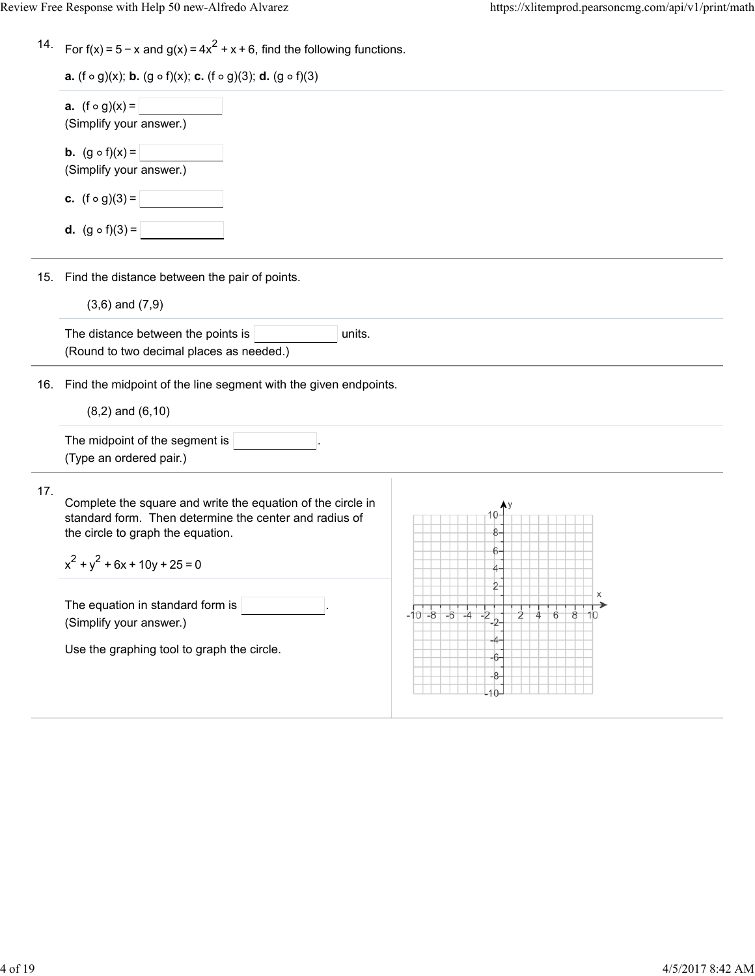| 14. For $f(x) = 5 - x$ and $g(x) = 4x^2 + x + 6$ , find the following functions. |  |  |
|----------------------------------------------------------------------------------|--|--|
|                                                                                  |  |  |

|     | <b>a.</b> $(f \circ g)(x) =$<br>(Simplify your answer.)                                                                                                                                           |                                  |
|-----|---------------------------------------------------------------------------------------------------------------------------------------------------------------------------------------------------|----------------------------------|
|     | <b>b.</b> $(g \circ f)(x) =$<br>(Simplify your answer.)                                                                                                                                           |                                  |
|     | <b>c.</b> $(f \circ g)(3) =$                                                                                                                                                                      |                                  |
|     | <b>d.</b> $(g \circ f)(3) =$                                                                                                                                                                      |                                  |
| 15. | Find the distance between the pair of points.                                                                                                                                                     |                                  |
|     | $(3,6)$ and $(7,9)$<br>The distance between the points is<br>units.<br>(Round to two decimal places as needed.)                                                                                   |                                  |
| 16. | Find the midpoint of the line segment with the given endpoints.<br>$(8,2)$ and $(6,10)$                                                                                                           |                                  |
|     | The midpoint of the segment is<br>(Type an ordered pair.)                                                                                                                                         |                                  |
| 17. | Complete the square and write the equation of the circle in<br>standard form. Then determine the center and radius of<br>the circle to graph the equation.<br>$x^{2} + y^{2} + 6x + 10y + 25 = 0$ | 8                                |
|     | The equation in standard form is<br>(Simplify your answer.)                                                                                                                                       | $-10 - 8 - 6$<br>-2<br>2<br>$-4$ |
|     | Use the graphing tool to graph the circle.                                                                                                                                                        | 6                                |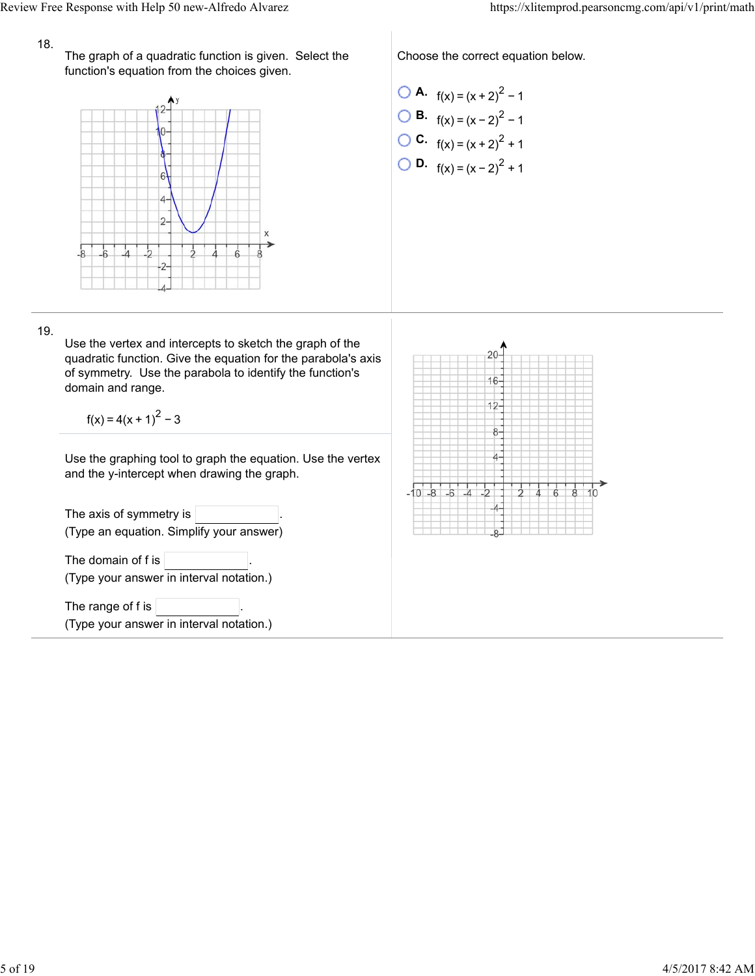## 18.

The graph of a quadratic function is given. Select the function's equation from the choices given.



Choose the correct equation below.

\n- **O** A. 
$$
f(x) = (x + 2)^2 - 1
$$
\n- **O** B.  $f(x) = (x - 2)^2 - 1$
\n- **O** C.  $f(x) = (x + 2)^2 + 1$
\n- **O** D.  $f(x) = (x - 2)^2 + 1$
\n

19.

Use the vertex and intercepts to sketch the graph of the quadratic function. Give the equation for the parabola's axis of symmetry. Use the parabola to identify the function's domain and range.

 $f(x) = 4(x + 1)^{2} - 3$ 

Use the graphing tool to graph the equation. Use the vertex and the y-intercept when drawing the graph.

The axis of symmetry is  $|$ (Type an equation. Simplify your answer) The domain of  $f$  is  $\vert$ (Type your answer in interval notation.) The range of f is (Type your answer in interval notation.)

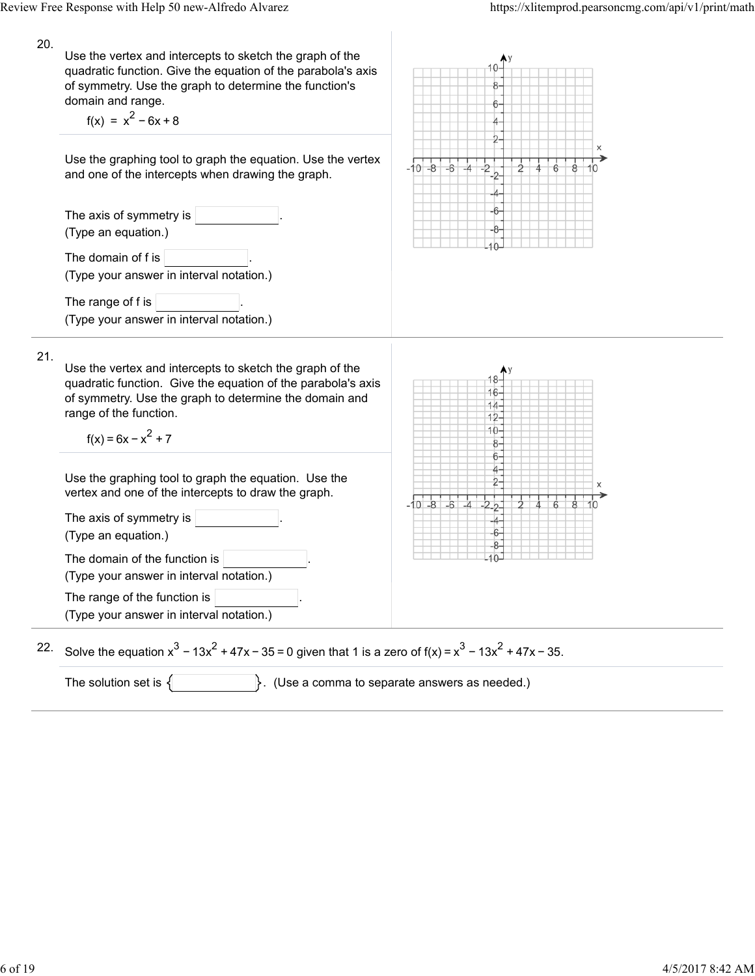| 20. | Use the vertex and intercepts to sketch the graph of the<br>quadratic function. Give the equation of the parabola's axis<br>of symmetry. Use the graph to determine the function's<br>domain and range.<br>$f(x) = x^2 - 6x + 8$      | 6                                                   |
|-----|---------------------------------------------------------------------------------------------------------------------------------------------------------------------------------------------------------------------------------------|-----------------------------------------------------|
|     | Use the graphing tool to graph the equation. Use the vertex<br>and one of the intercepts when drawing the graph.                                                                                                                      | х<br>$-10 - 8$<br>$-6$<br>-4                        |
|     | The axis of symmetry is<br>(Type an equation.)                                                                                                                                                                                        |                                                     |
|     | The domain of f is<br>(Type your answer in interval notation.)                                                                                                                                                                        |                                                     |
|     | The range of f is<br>(Type your answer in interval notation.)                                                                                                                                                                         |                                                     |
| 21. | Use the vertex and intercepts to sketch the graph of the<br>quadratic function. Give the equation of the parabola's axis<br>of symmetry. Use the graph to determine the domain and<br>range of the function.<br>$f(x) = 6x - x^2 + 7$ | 16<br>$14 -$<br>$12 -$<br>10-<br>8<br>6             |
|     | Use the graphing tool to graph the equation. Use the<br>vertex and one of the intercepts to draw the graph.                                                                                                                           | $-6$                                                |
|     | The axis of symmetry is<br>(Type an equation.)                                                                                                                                                                                        | $-10 - 8$<br>-6-                                    |
|     | The domain of the function is<br>(Type your answer in interval notation.)                                                                                                                                                             |                                                     |
|     | The range of the function is<br>(Type your answer in interval notation.)                                                                                                                                                              |                                                     |
| 22. | Solve the equation $x^3 - 13x^2 + 47x - 35 = 0$ given that 1 is a zero of $f(x) = x^3 - 13x^2 + 47x - 35$ .                                                                                                                           |                                                     |
|     | The solution set is $\{$                                                                                                                                                                                                              | $\}$ . (Use a comma to separate answers as needed.) |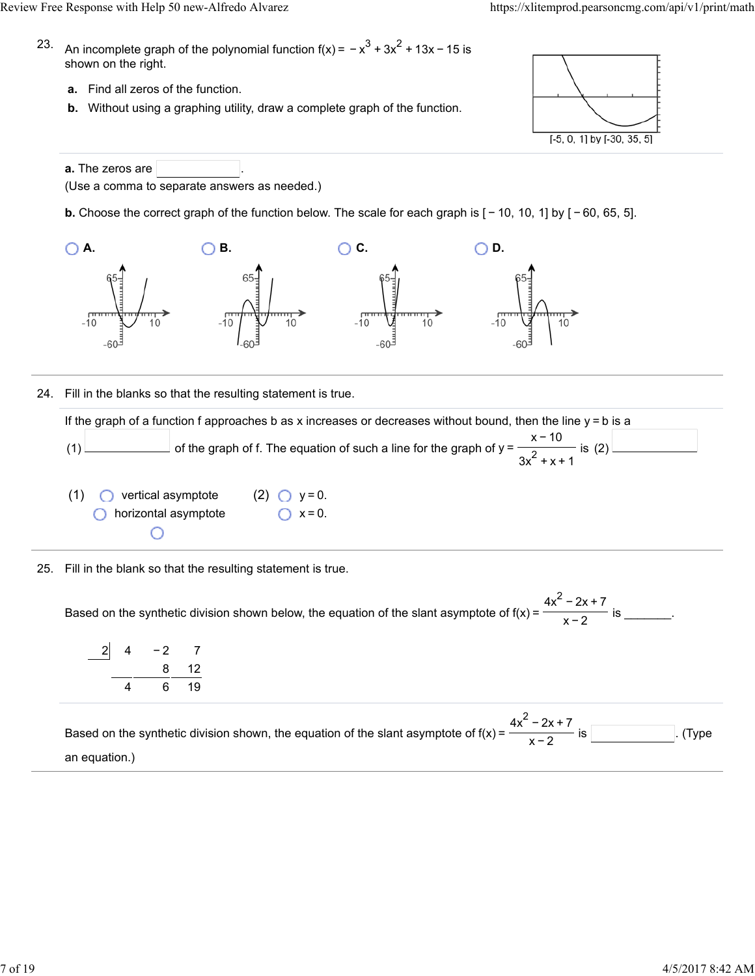- 23. An incomplete graph of the polynomial function f(x) =  $-x^3 + 3x^2 + 13x - 15$  is shown on the right.
	- **a.** Find all zeros of the function.
	- **b.** Without using a graphing utility, draw a complete graph of the function.



**a.** The zeros are (Use a comma to separate answers as needed.)

**b.** Choose the correct graph of the function below. The scale for each graph is  $[-10, 10, 1]$  by  $[-60, 65, 5]$ .



24. Fill in the blanks so that the resulting statement is true.

If the graph of a function f approaches b as x increases or decreases without bound, then the line  $y = b$  is a (1)  $\Box$  of the graph of f. The equation of such a line for the graph of y =  $\Box$  is (2) x − 10  $3x^2 + x + 1$ 

- (1) vertical asymptote (2)  $\bigcirc$  y = 0. **O** horizontal asymptote  $\bigcap x = 0$ . O
- 25. Fill in the blank so that the resulting statement is true.

Based on the synthetic division shown below, the equation of the slant asymptote of  $f(x) = \frac{1}{x}$  for  $\frac{1}{x}$  is \_\_\_\_\_\_\_.  $4x^2 - 2x + 7$ x−2

| $\overline{2}$ | 4 | $-2$ | -7   |
|----------------|---|------|------|
|                |   |      | 8 12 |
|                |   | 6    | -19  |

Based on the synthetic division shown, the equation of the slant asymptote of  $f(x) = \frac{1}{x}$  .  $\frac{1}{x}$  is . (Type an equation.)  $4x^2 - 2x + 7$ x−2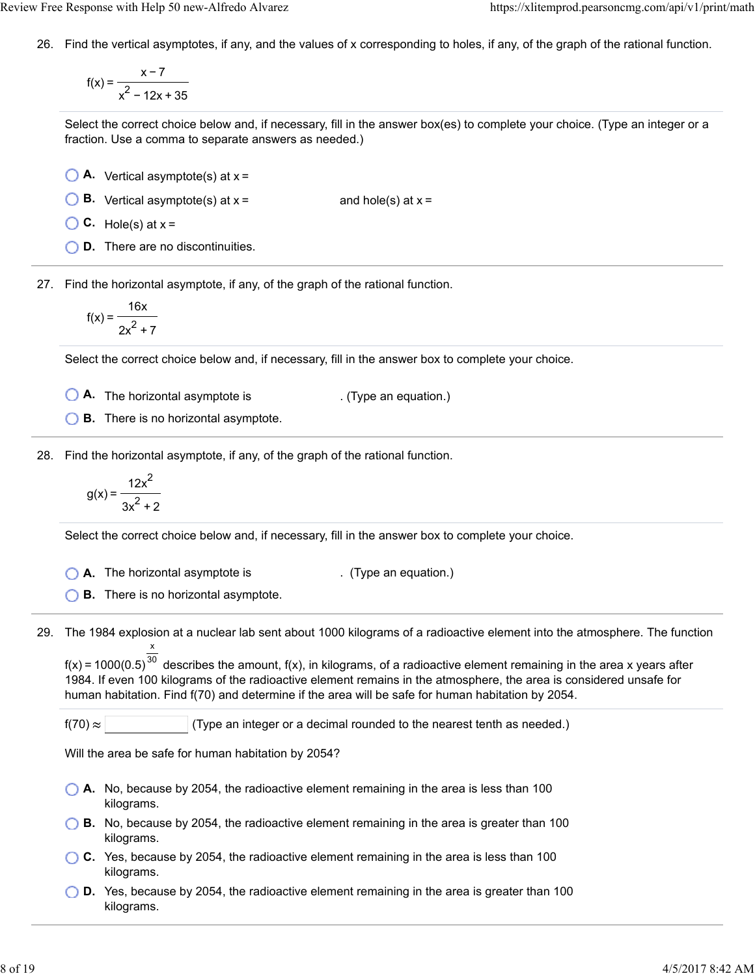26. Find the vertical asymptotes, if any, and the values of x corresponding to holes, if any, of the graph of the rational function.

$$
f(x) = \frac{x-7}{x^2 - 12x + 35}
$$

Select the correct choice below and, if necessary, fill in the answer box(es) to complete your choice. (Type an integer or a fraction. Use a comma to separate answers as needed.)

- **A.** Vertical asymptote(s) at x =
- **B.** Vertical asymptote(s) at  $x =$  and hole(s) at  $x =$
- $\bigcirc$  C. Hole(s) at  $x =$
- **D.** There are no discontinuities.

27. Find the horizontal asymptote, if any, of the graph of the rational function.

$$
f(x) = \frac{16x}{2x^2 + 7}
$$

Select the correct choice below and, if necessary, fill in the answer box to complete your choice.

- **A.** The horizontal asymptote is . (Type an equation.)
- **B.** There is no horizontal asymptote.

28. Find the horizontal asymptote, if any, of the graph of the rational function.

$$
g(x) = \frac{12x^2}{3x^2 + 2}
$$

Select the correct choice below and, if necessary, fill in the answer box to complete your choice.

**A.** The horizontal asymptote is . (Type an equation.)

**B.** There is no horizontal asymptote.

29. The 1984 explosion at a nuclear lab sent about 1000 kilograms of a radioactive element into the atmosphere. The function x

f(x) = 1000(0.5) $^{30}$  describes the amount, f(x), in kilograms, of a radioactive element remaining in the area x years after 1984. If even 100 kilograms of the radioactive element remains in the atmosphere, the area is considered unsafe for human habitation. Find f(70) and determine if the area will be safe for human habitation by 2054.

 $f(70) \approx$  (Type an integer or a decimal rounded to the nearest tenth as needed.)

Will the area be safe for human habitation by 2054?

- **A.** No, because by 2054, the radioactive element remaining in the area is less than 100 kilograms.
- **B.** No, because by 2054, the radioactive element remaining in the area is greater than 100 kilograms.
- **C.** Yes, because by 2054, the radioactive element remaining in the area is less than 100 kilograms.
- **D.** Yes, because by 2054, the radioactive element remaining in the area is greater than 100 kilograms.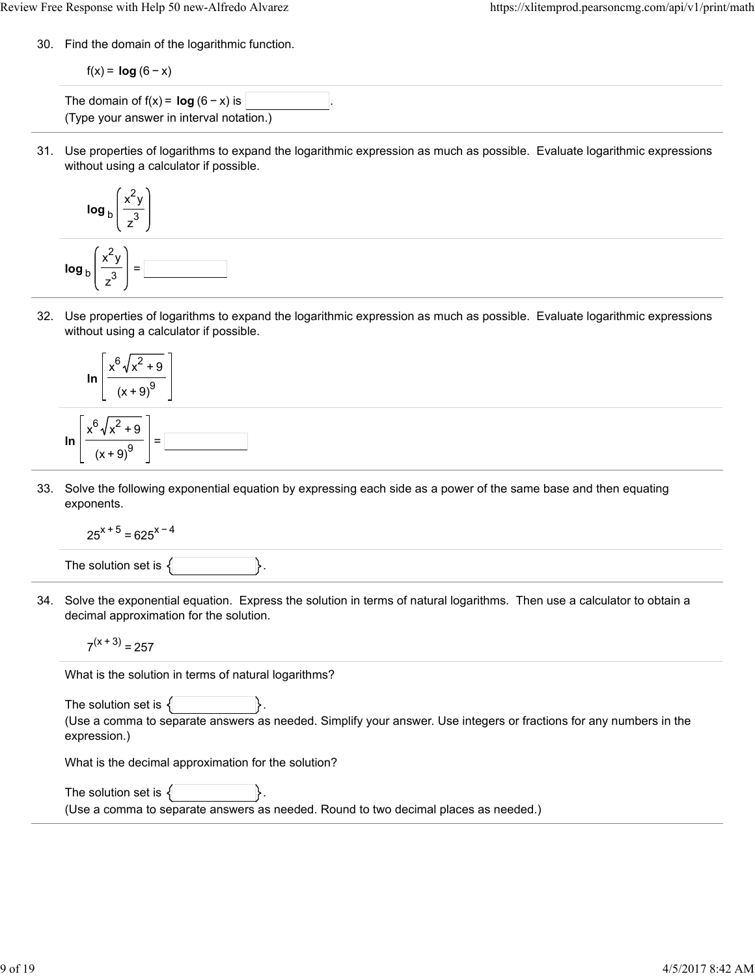30. Find the domain of the logarithmic function.

$$
f(x) = \log (6 - x)
$$

The domain of  $f(x) = \log (6 - x)$  is (Type your answer in interval notation.)

31. Use properties of logarithms to expand the logarithmic expression as much as possible. Evaluate logarithmic expressions without using a calculator if possible.

$$
\log_{b}\left(\frac{x^{2}y}{z^{3}}\right)
$$
\n
$$
\log_{b}\left(\frac{x^{2}y}{z^{3}}\right) =
$$

32. Use properties of logarithms to expand the logarithmic expression as much as possible. Evaluate logarithmic expressions without using a calculator if possible.



33. Solve the following exponential equation by expressing each side as a power of the same base and then equating exponents.

$$
25^{x+5} = 625^{x-4}
$$

The solution set is  $\{$ 

34. Solve the exponential equation. Express the solution in terms of natural logarithms. Then use a calculator to obtain a decimal approximation for the solution.

$$
7^{(x+3)} = 257
$$

What is the solution in terms of natural logarithms?

The solution set is  $\{$ (Use a comma to separate answers as needed. Simplify your answer. Use integers or fractions for any numbers in the expression.)

What is the decimal approximation for the solution?

The solution set is  $\{$ (Use a comma to separate answers as needed. Round to two decimal places as needed.)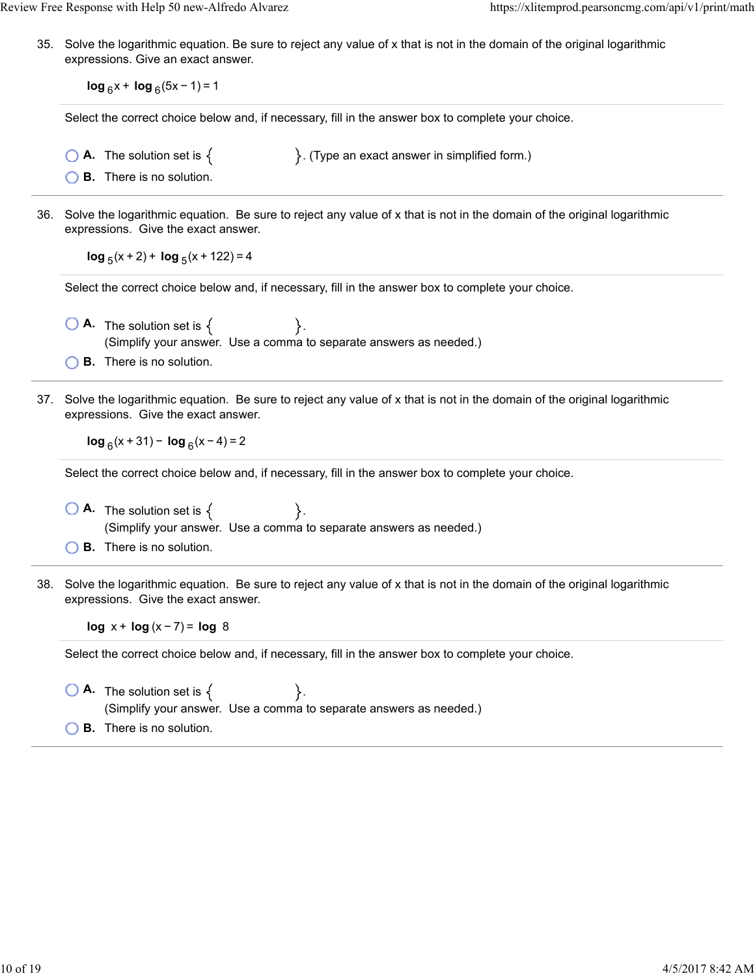35. Solve the logarithmic equation. Be sure to reject any value of x that is not in the domain of the original logarithmic expressions. Give an exact answer.

**log**  $_6$ x + **log**  $_6$ (5x − 1) = 1

Select the correct choice below and, if necessary, fill in the answer box to complete your choice.

- **A.** The solution set is  $\{$   $\}$ . (Type an exact answer in simplified form.)
- **B.** There is no solution.
- 36. Solve the logarithmic equation. Be sure to reject any value of x that is not in the domain of the original logarithmic expressions. Give the exact answer.

 $log_5(x + 2) + log_5(x + 122) = 4$ 

Select the correct choice below and, if necessary, fill in the answer box to complete your choice.

- $\bigcirc$  **A.** The solution set is  $\{$   $\}$ . (Simplify your answer. Use a comma to separate answers as needed.)
- **B.** There is no solution.
- 37. Solve the logarithmic equation. Be sure to reject any value of x that is not in the domain of the original logarithmic expressions. Give the exact answer.

**log**  $_6(x + 31) - \log_6(x - 4) = 2$ 

Select the correct choice below and, if necessary, fill in the answer box to complete your choice.

- $\bigcirc$  **A.** The solution set is  $\{ \}$ . (Simplify your answer. Use a comma to separate answers as needed.)
- **B.** There is no solution.
- 38. Solve the logarithmic equation. Be sure to reject any value of x that is not in the domain of the original logarithmic expressions. Give the exact answer.

**log** x + **log** (x − 7) = **log** 8

Select the correct choice below and, if necessary, fill in the answer box to complete your choice.

 $\bigcirc$  **A.** The solution set is  $\{$ . (Simplify your answer. Use a comma to separate answers as needed.)

**B.** There is no solution.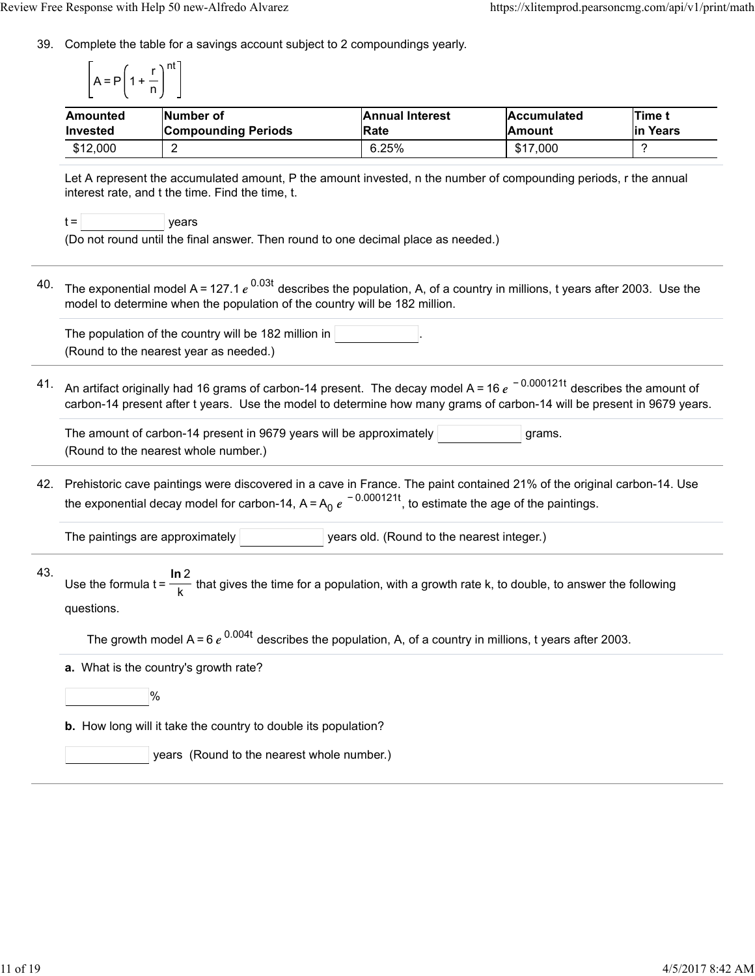39. Complete the table for a savings account subject to 2 compoundings yearly.

$$
\left[A = P\left(1 + \frac{r}{n}\right)^{nt}\right]
$$

| Amounted        | Number of                  | <b>Annual Interest</b> | <b>Accumulated</b> | <b>Time</b> |  |
|-----------------|----------------------------|------------------------|--------------------|-------------|--|
| <b>Invested</b> | <b>Compounding Periods</b> | <b>Rate</b>            | <b>Amount</b>      | lin Years   |  |
| \$12,000        |                            | 6.25%                  | \$17,000           |             |  |

Let A represent the accumulated amount, P the amount invested, n the number of compounding periods, r the annual interest rate, and t the time. Find the time, t.

|  | vears |
|--|-------|
|  |       |

(Do not round until the final answer. Then round to one decimal place as needed.)

40. The exponential model A = 127.1  $e^{\rm~0.03t}$  describes the population, A, of a country in millions, t years after 2003. Use the model to determine when the population of the country will be 182 million.

The population of the country will be 182 million in (Round to the nearest year as needed.)

41. An artifact originally had 16 grams of carbon-14 present. The decay model A = 16  $e^{\,\,-\,0.000121t}$  describes the amount of carbon-14 present after t years. Use the model to determine how many grams of carbon-14 will be present in 9679 years.

The amount of carbon-14 present in 9679 years will be approximately  $|$  states are  $|$  grams. (Round to the nearest whole number.)

42. Prehistoric cave paintings were discovered in a cave in France. The paint contained 21% of the original carbon-14. Use the exponential decay model for carbon-14, A=A<sub>0</sub>  $e^{\,-\,0.000121t}$ , to estimate the age of the paintings.

The paintings are approximately  $|$  years old. (Round to the nearest integer.)

43. Use the formula  $t = \frac{1}{\sqrt{1-\lambda}}$  that gives the time for a population, with a growth rate k, to double, to answer the following questions. **ln** 2 k

The growth model A = 6  $e^{0.004t}$  describes the population, A, of a country in millions, t years after 2003.

**a.** What is the country's growth rate?

%

**b.** How long will it take the country to double its population?

years (Round to the nearest whole number.)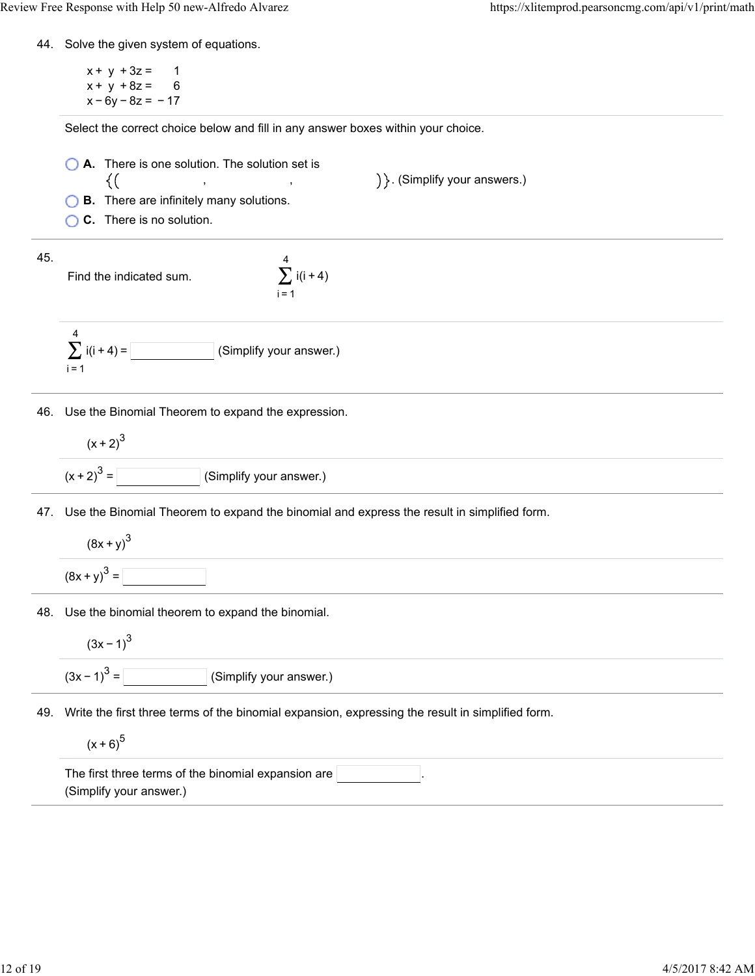44. Solve the given system of equations.

 $x + y + 3z = 1$  $x + y + 8z = 6$  $x - 6y - 8z = -17$ 

Select the correct choice below and fill in any answer boxes within your choice.

**A.** There is one solution. The solution set is ) }. (Simplify your answers.)  $\{(\}$ , ,

**B.** There are infinitely many solutions.

**C.** There is no solution.

45.

Find the indicated sum.





46. Use the Binomial Theorem to expand the expression.

$$
(x + 2)3
$$
  

$$
(x + 2)3 =
$$
 (Simplify your answer.)

47. Use the Binomial Theorem to expand the binomial and express the result in simplified form.

$$
(8x + y)^3
$$

$$
(8x + y)^3 =
$$

48. Use the binomial theorem to expand the binomial.

$$
(3x-1)^3
$$

$$
(3x-1)^3 = \boxed{\qquad \qquad} \text{(Simplify your answer.)}
$$

49. Write the first three terms of the binomial expansion, expressing the result in simplified form.

 $(x + 6)^{5}$ 

| The first three terms of the binomial expansion are |  |  |
|-----------------------------------------------------|--|--|
| (Simplify your answer.)                             |  |  |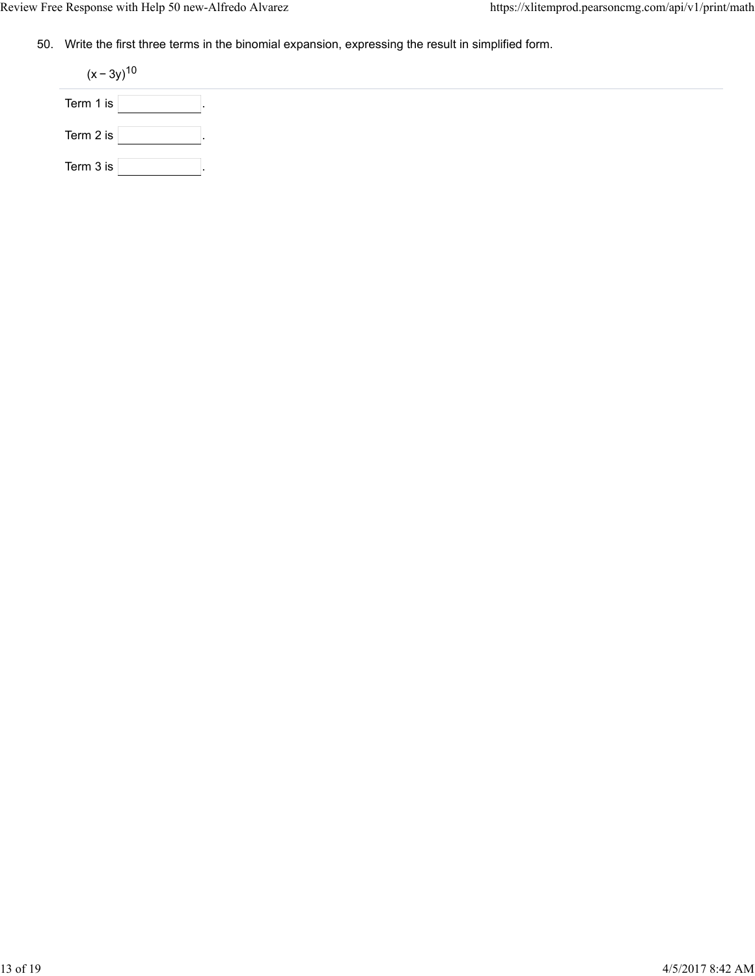50. Write the first three terms in the binomial expansion, expressing the result in simplified form.

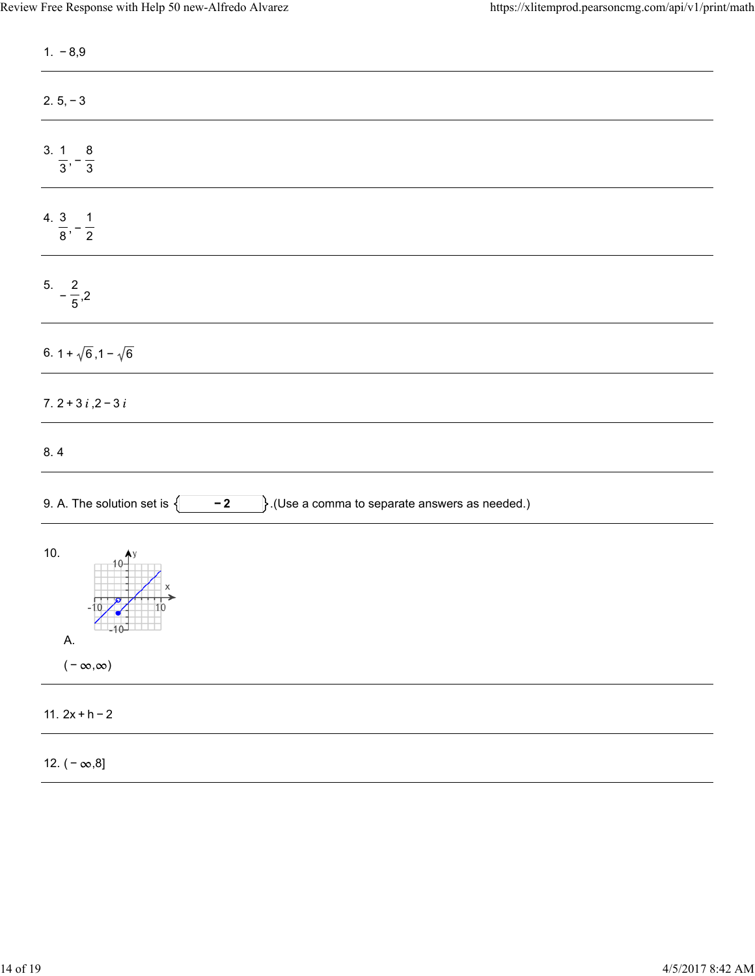| $1. -8.9$                                                                                    |
|----------------------------------------------------------------------------------------------|
| $2.5, -3$                                                                                    |
| $\frac{3.1}{3}, -\frac{8}{3}$                                                                |
| 4. $\frac{3}{8}, -\frac{1}{2}$                                                               |
| $5. -\frac{2}{5},2$                                                                          |
| 6. $1 + \sqrt{6}$ , $1 - \sqrt{6}$                                                           |
| 7. $2 + 3 i$ , $2 - 3 i$                                                                     |
| 8.4                                                                                          |
| 9. A. The solution set is $\{$<br>$\}$ .(Use a comma to separate answers as needed.)<br>$-2$ |
| 10.<br>$\frac{1}{10}$<br>Α.<br>$(-\infty,\infty)$                                            |
|                                                                                              |
| 11. $2x + h - 2$                                                                             |
| 12. $(-\infty, 8]$                                                                           |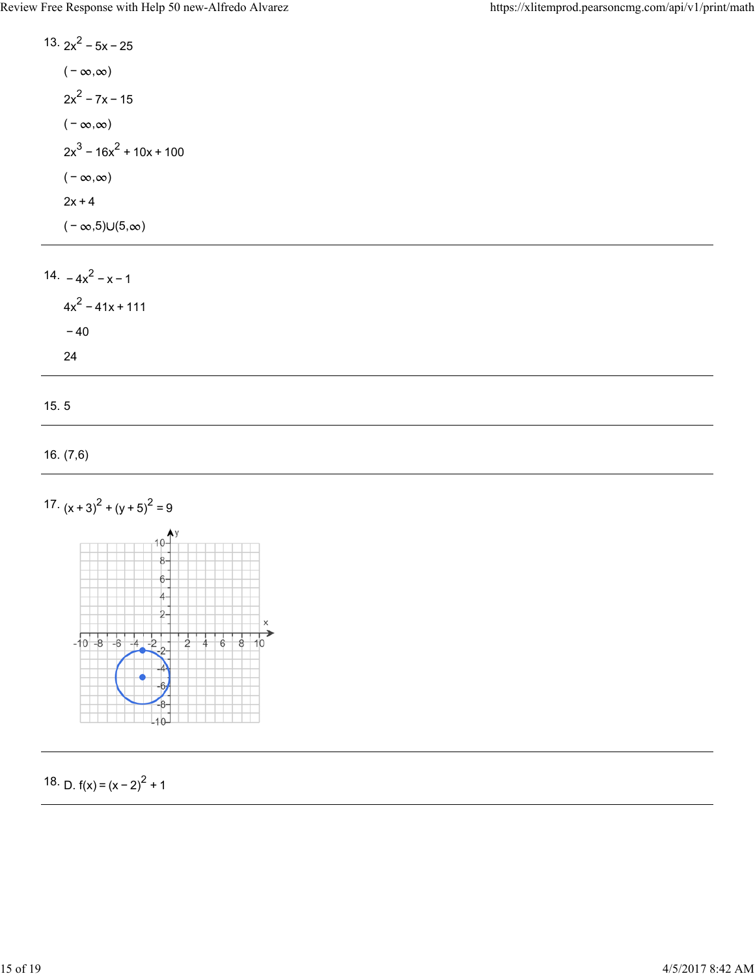13.  $2x^2 - 5x - 25$  $(-\infty, \infty)$  $2x^2 - 7x - 15$  $(-\infty, \infty)$  $2x^3 - 16x^2 + 10x + 100$  $(-\infty, \infty)$  $2x + 4$  $(-\infty,5) \cup (5,\infty)$ 

14.  $-4x^2 - x - 1$  $4x^2 - 41x + 111$ − 40 24

15. 5

```
16. (7,6)
```




18. D.  $f(x) = (x - 2)^2 + 1$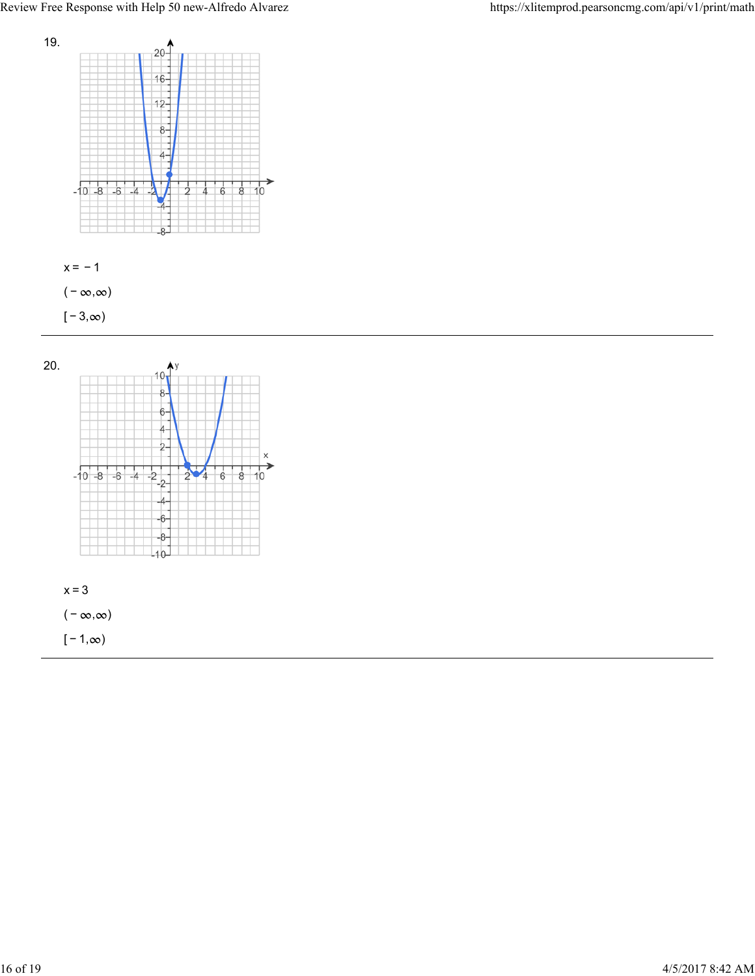



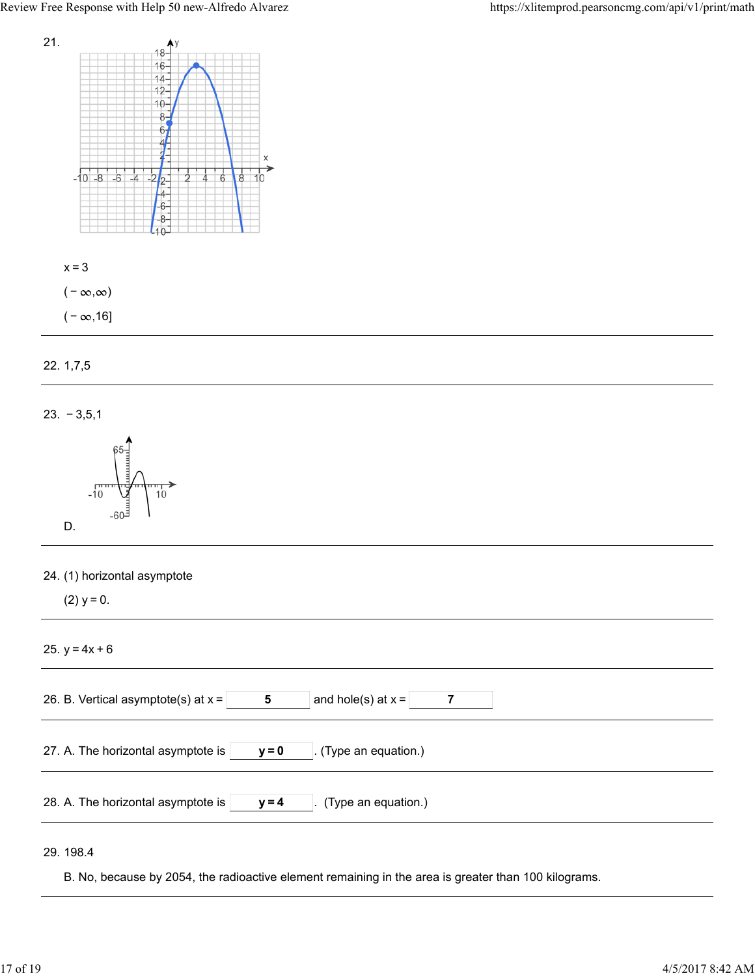





23. − 3,5,1



|  | 24. (1) horizontal asymptote |  |
|--|------------------------------|--|
|  |                              |  |

(2)  $y = 0$ .

25.  $y = 4x + 6$ 

| and hole(s) at $x =$<br>26. B. Vertical asymptote(s) at $x =$<br>-5  |
|----------------------------------------------------------------------|
| 27. A. The horizontal asymptote is<br>(Type an equation.)<br>$y = 0$ |
| 28. A. The horizontal asymptote is<br>(Type an equation.)<br>$y = 4$ |
|                                                                      |

29. 198.4

B. No, because by 2054, the radioactive element remaining in the area is greater than 100 kilograms.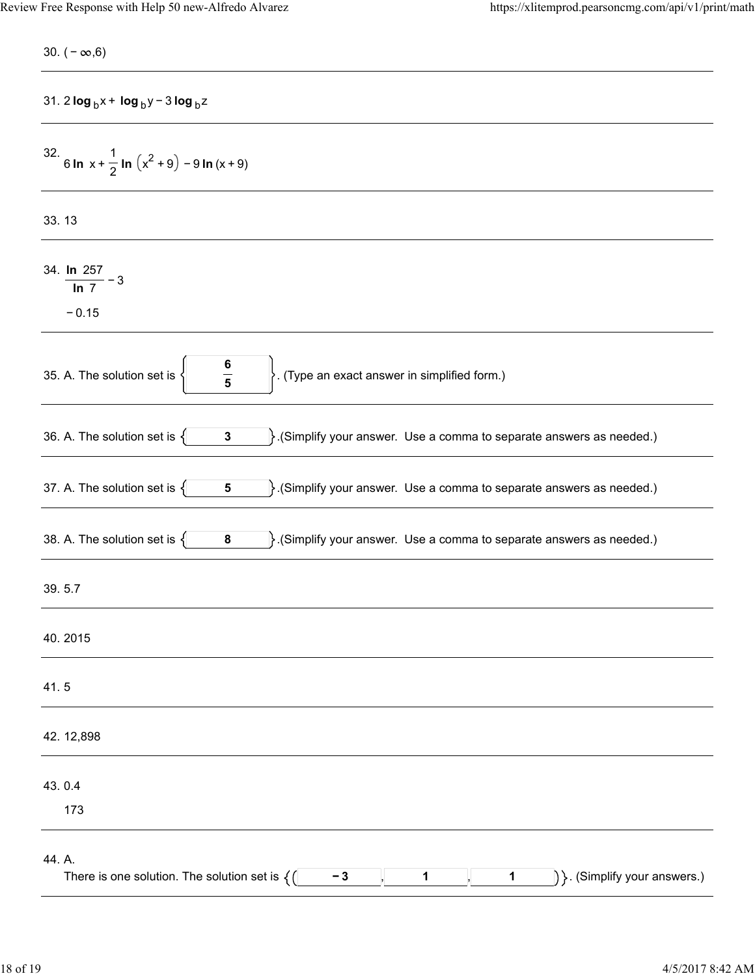| 30. $(-\infty, 6)$                                                                                                            |
|-------------------------------------------------------------------------------------------------------------------------------|
| 31. 2 $\log_b x + \log_b y - 3 \log_b z$                                                                                      |
| 32. 6 ln x + $\frac{1}{2}$ ln $(x^2 + 9) - 9$ ln $(x + 9)$                                                                    |
| 33.13                                                                                                                         |
| 34. $\frac{\ln 257}{\ln 7} - 3$<br>$-0.15$                                                                                    |
| $\frac{6}{5}$<br>$\big\}$ . (Type an exact answer in simplified form.)<br>35. A. The solution set is                          |
| $\cdot$ (Simplify your answer. Use a comma to separate answers as needed.)<br>36. A. The solution set is $\{$<br>$\mathbf{3}$ |
| 37. A. The solution set is $\{$<br>$\}$ . (Simplify your answer. Use a comma to separate answers as needed.)<br>$\sqrt{5}$    |
| 38. A. The solution set is $\{$<br>$\}$ . (Simplify your answer. Use a comma to separate answers as needed.)<br>8             |
| 39.5.7                                                                                                                        |
| 40.2015                                                                                                                       |
| 41.5                                                                                                                          |
| 42.12,898                                                                                                                     |
| 43.0.4<br>173                                                                                                                 |
| 44. A.<br>$ \}$ . (Simplify your answers.)<br>There is one solution. The solution set is $\{(\}$<br>$-3$<br>1<br>1            |